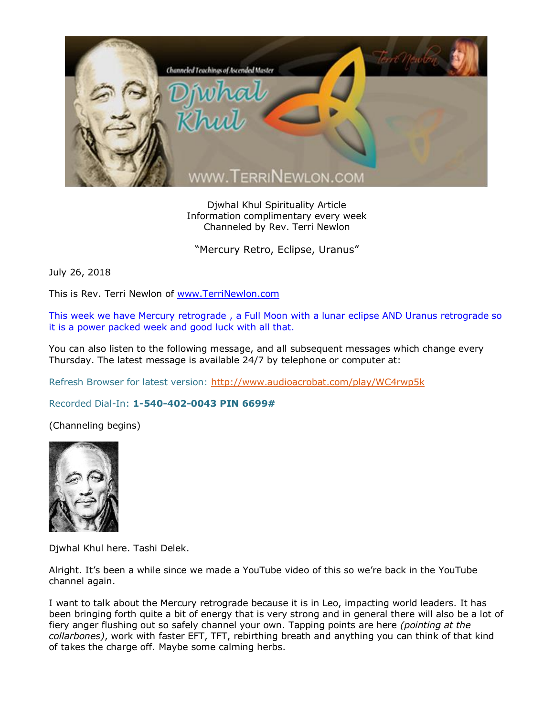

Djwhal Khul Spirituality Article Information complimentary every week Channeled by Rev. Terri Newlon

"Mercury Retro, Eclipse, Uranus"

July 26, 2018

This is Rev. Terri Newlon of [www.TerriNewlon.com](http://www.terrinewlon.com/)

This week we have Mercury retrograde , a Full Moon with a lunar eclipse AND Uranus retrograde so it is a power packed week and good luck with all that.

You can also listen to the following message, and all subsequent messages which change every Thursday. The latest message is available 24/7 by telephone or computer at:

Refresh Browser for latest version:<http://www.audioacrobat.com/play/WC4rwp5k>

Recorded Dial-In: **1-540-402-0043 PIN 6699#**

(Channeling begins)



Djwhal Khul here. Tashi Delek.

Alright. It's been a while since we made a YouTube video of this so we're back in the YouTube channel again.

I want to talk about the Mercury retrograde because it is in Leo, impacting world leaders. It has been bringing forth quite a bit of energy that is very strong and in general there will also be a lot of fiery anger flushing out so safely channel your own. Tapping points are here *(pointing at the collarbones)*, work with faster EFT, TFT, rebirthing breath and anything you can think of that kind of takes the charge off. Maybe some calming herbs.